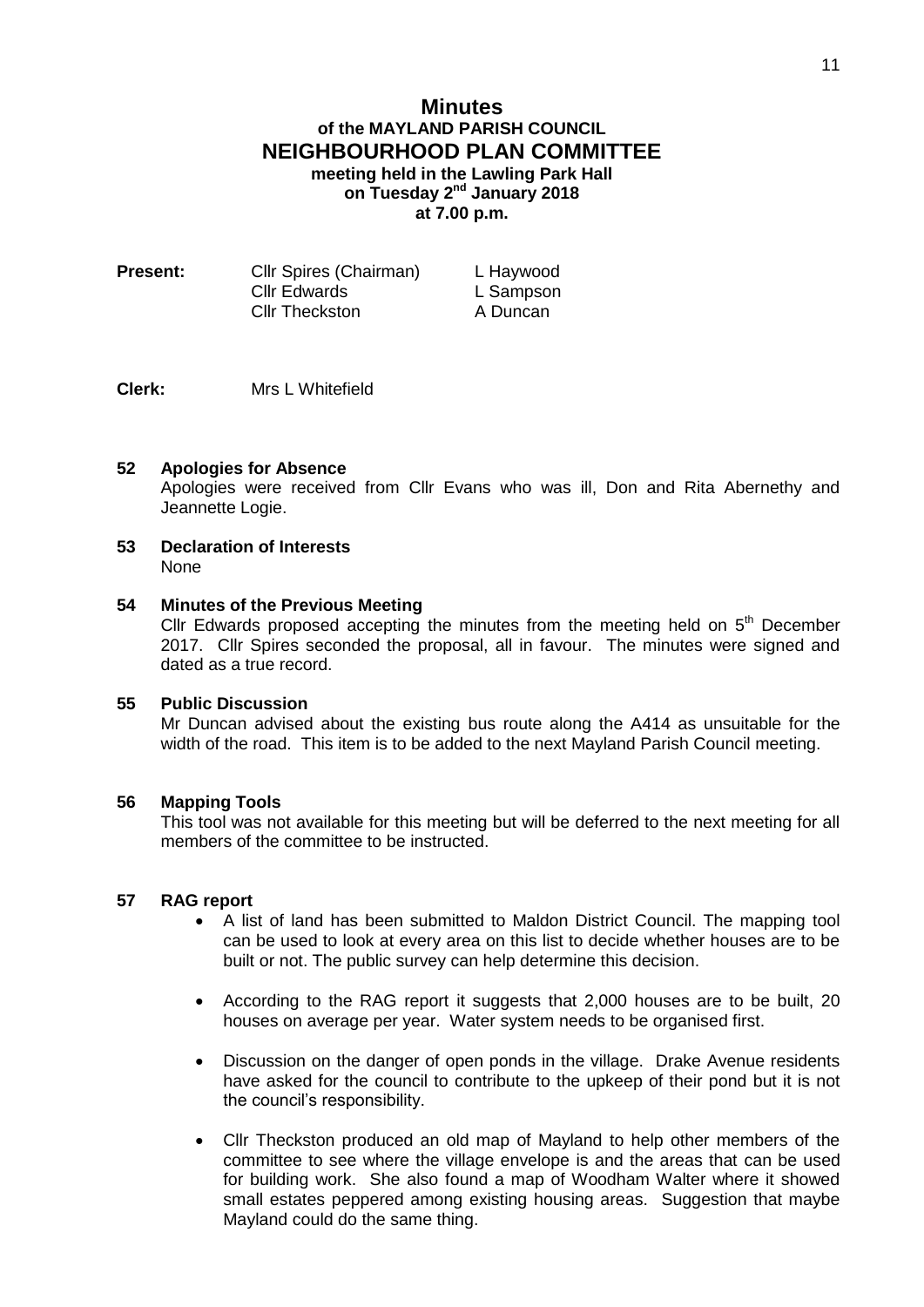# **Minutes of the MAYLAND PARISH COUNCIL NEIGHBOURHOOD PLAN COMMITTEE meeting held in the Lawling Park Hall on Tuesday 2<sup>nd</sup> January 2018 at 7.00 p.m.**

| Present: | <b>CIIr Spires (Chairman)</b> | L Haywood |
|----------|-------------------------------|-----------|
|          | Cllr Edwards                  | L Sampson |
|          | <b>Cllr Theckston</b>         | A Duncan  |

### **Clerk:** Mrs L Whitefield

### **52 Apologies for Absence**

Apologies were received from Cllr Evans who was ill, Don and Rita Abernethy and Jeannette Logie.

#### **53 Declaration of Interests** None

## **54 Minutes of the Previous Meeting**

Cllr Edwards proposed accepting the minutes from the meeting held on  $5<sup>th</sup>$  December 2017. Cllr Spires seconded the proposal, all in favour. The minutes were signed and dated as a true record.

## **55 Public Discussion**

Mr Duncan advised about the existing bus route along the A414 as unsuitable for the width of the road. This item is to be added to the next Mayland Parish Council meeting.

#### **56 Mapping Tools**

This tool was not available for this meeting but will be deferred to the next meeting for all members of the committee to be instructed.

### **57 RAG report**

- A list of land has been submitted to Maldon District Council. The mapping tool can be used to look at every area on this list to decide whether houses are to be built or not. The public survey can help determine this decision.
- According to the RAG report it suggests that 2,000 houses are to be built, 20 houses on average per year. Water system needs to be organised first.
- Discussion on the danger of open ponds in the village. Drake Avenue residents have asked for the council to contribute to the upkeep of their pond but it is not the council's responsibility.
- Cllr Theckston produced an old map of Mayland to help other members of the committee to see where the village envelope is and the areas that can be used for building work. She also found a map of Woodham Walter where it showed small estates peppered among existing housing areas. Suggestion that maybe Mayland could do the same thing.